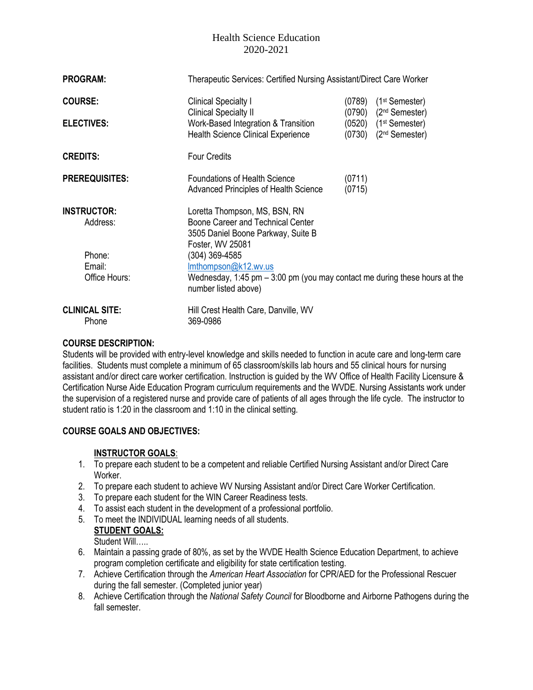| <b>PROGRAM:</b>                |                                                                                                                              | Therapeutic Services: Certified Nursing Assistant/Direct Care Worker         |                                                         |  |  |
|--------------------------------|------------------------------------------------------------------------------------------------------------------------------|------------------------------------------------------------------------------|---------------------------------------------------------|--|--|
| <b>COURSE:</b>                 | <b>Clinical Specialty I</b><br><b>Clinical Specialty II</b>                                                                  | (0789)<br>(0790)                                                             | $(1st$ Semester)<br>(2 <sup>nd</sup> Semester)          |  |  |
| <b>ELECTIVES:</b>              | Work-Based Integration & Transition<br><b>Health Science Clinical Experience</b>                                             | (0730)                                                                       | $(0520)$ $(1st$ Semester)<br>(2 <sup>nd</sup> Semester) |  |  |
| <b>CREDITS:</b>                | <b>Four Credits</b>                                                                                                          |                                                                              |                                                         |  |  |
| <b>PREREQUISITES:</b>          | <b>Foundations of Health Science</b><br><b>Advanced Principles of Health Science</b>                                         | (0711)<br>(0715)                                                             |                                                         |  |  |
| <b>INSTRUCTOR:</b><br>Address: | Loretta Thompson, MS, BSN, RN<br>Boone Career and Technical Center<br>3505 Daniel Boone Parkway, Suite B<br>Foster, WV 25081 |                                                                              |                                                         |  |  |
| Phone:                         | (304) 369-4585                                                                                                               |                                                                              |                                                         |  |  |
| Email:                         | Imthompson@k12.wv.us                                                                                                         |                                                                              |                                                         |  |  |
| Office Hours:                  | number listed above)                                                                                                         | Wednesday, 1:45 pm $-$ 3:00 pm (you may contact me during these hours at the |                                                         |  |  |
| <b>CLINICAL SITE:</b>          | Hill Crest Health Care, Danville, WV                                                                                         |                                                                              |                                                         |  |  |
| Phone                          | 369-0986                                                                                                                     |                                                                              |                                                         |  |  |

#### **COURSE DESCRIPTION:**

Students will be provided with entry-level knowledge and skills needed to function in acute care and long-term care facilities. Students must complete a minimum of 65 classroom/skills lab hours and 55 clinical hours for nursing assistant and/or direct care worker certification. Instruction is guided by the WV Office of Health Facility Licensure & Certification Nurse Aide Education Program curriculum requirements and the WVDE. Nursing Assistants work under the supervision of a registered nurse and provide care of patients of all ages through the life cycle. The instructor to student ratio is 1:20 in the classroom and 1:10 in the clinical setting.

### **COURSE GOALS AND OBJECTIVES:**

### **INSTRUCTOR GOALS**:

- 1. To prepare each student to be a competent and reliable Certified Nursing Assistant and/or Direct Care Worker.
- 2. To prepare each student to achieve WV Nursing Assistant and/or Direct Care Worker Certification.
- 3. To prepare each student for the WIN Career Readiness tests.
- 4. To assist each student in the development of a professional portfolio.
- 5. To meet the INDIVIDUAL learning needs of all students.

**STUDENT GOALS:** 

Student Will…..

- 6. Maintain a passing grade of 80%, as set by the WVDE Health Science Education Department, to achieve program completion certificate and eligibility for state certification testing.
- 7. Achieve Certification through the *American Heart Association* for CPR/AED for the Professional Rescuer during the fall semester. (Completed junior year)
- 8. Achieve Certification through the *National Safety Council* for Bloodborne and Airborne Pathogens during the fall semester.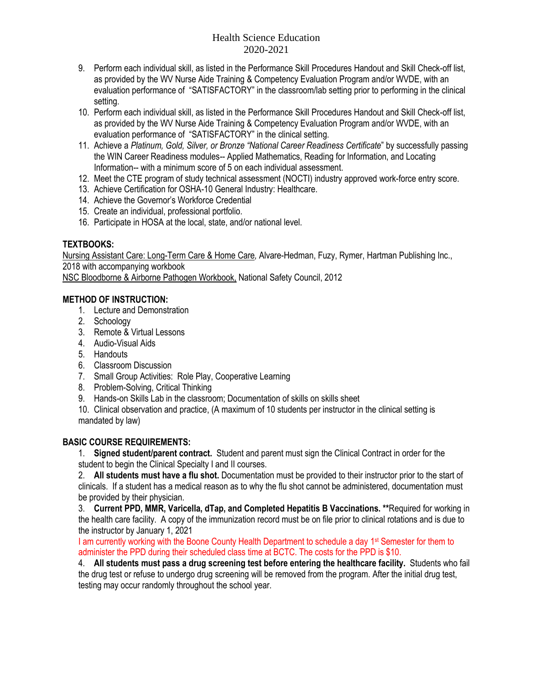- 9. Perform each individual skill, as listed in the Performance Skill Procedures Handout and Skill Check-off list, as provided by the WV Nurse Aide Training & Competency Evaluation Program and/or WVDE, with an evaluation performance of "SATISFACTORY" in the classroom/lab setting prior to performing in the clinical setting.
- 10. Perform each individual skill, as listed in the Performance Skill Procedures Handout and Skill Check-off list, as provided by the WV Nurse Aide Training & Competency Evaluation Program and/or WVDE, with an evaluation performance of "SATISFACTORY" in the clinical setting.
- 11. Achieve a *Platinum, Gold, Silver, or Bronze "National Career Readiness Certificate*" by successfully passing the WIN Career Readiness modules-- Applied Mathematics, Reading for Information, and Locating Information-- with a minimum score of 5 on each individual assessment.
- 12. Meet the CTE program of study technical assessment (NOCTI) industry approved work-force entry score.
- 13. Achieve Certification for OSHA-10 General Industry: Healthcare.
- 14. Achieve the Governor's Workforce Credential
- 15. Create an individual, professional portfolio.
- 16. Participate in HOSA at the local, state, and/or national level.

## **TEXTBOOKS:**

Nursing Assistant Care: Long-Term Care & Home Care*,* Alvare-Hedman, Fuzy, Rymer, Hartman Publishing Inc., 2018 with accompanying workbook

NSC Bloodborne & Airborne Pathogen Workbook, National Safety Council, 2012

## **METHOD OF INSTRUCTION:**

- 1. Lecture and Demonstration
- 2. Schoology
- 3. Remote & Virtual Lessons
- 4. Audio-Visual Aids
- 5. Handouts
- 6. Classroom Discussion
- 7. Small Group Activities: Role Play, Cooperative Learning
- 8. Problem-Solving, Critical Thinking
- 9. Hands-on Skills Lab in the classroom; Documentation of skills on skills sheet

10. Clinical observation and practice, (A maximum of 10 students per instructor in the clinical setting is mandated by law)

### **BASIC COURSE REQUIREMENTS:**

1. **Signed student/parent contract.** Student and parent must sign the Clinical Contract in order for the student to begin the Clinical Specialty I and II courses.

2. **All students must have a flu shot.** Documentation must be provided to their instructor prior to the start of clinicals. If a student has a medical reason as to why the flu shot cannot be administered, documentation must be provided by their physician.

3. **Current PPD, MMR, Varicella, dTap, and Completed Hepatitis B Vaccinations. \*\***Required for working in the health care facility. A copy of the immunization record must be on file prior to clinical rotations and is due to the instructor by January 1, 2021

I am currently working with the Boone County Health Department to schedule a day 1<sup>st</sup> Semester for them to administer the PPD during their scheduled class time at BCTC. The costs for the PPD is \$10.

4. **All students must pass a drug screening test before entering the healthcare facility.** Students who fail the drug test or refuse to undergo drug screening will be removed from the program. After the initial drug test, testing may occur randomly throughout the school year.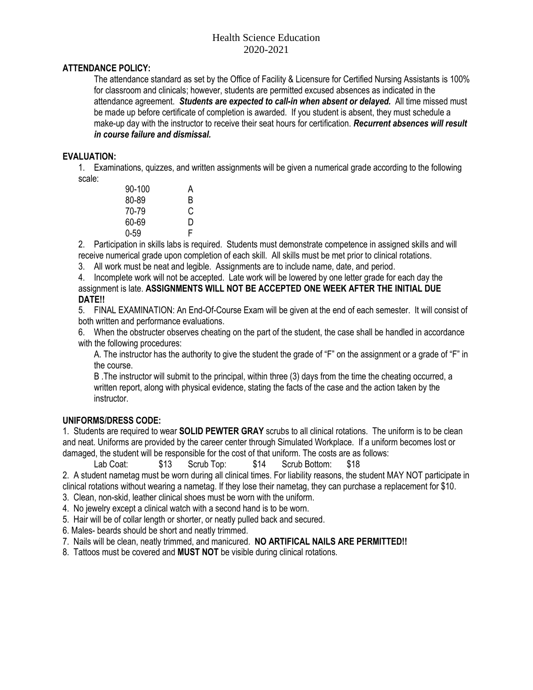# **ATTENDANCE POLICY:**

The attendance standard as set by the Office of Facility & Licensure for Certified Nursing Assistants is 100% for classroom and clinicals; however, students are permitted excused absences as indicated in the attendance agreement. *Students are expected to call-in when absent or delayed.* All time missed must be made up before certificate of completion is awarded. If you student is absent, they must schedule a make-up day with the instructor to receive their seat hours for certification. *Recurrent absences will result in course failure and dismissal.*

#### **EVALUATION:**

1. Examinations, quizzes, and written assignments will be given a numerical grade according to the following scale:

| 90-100   | А |
|----------|---|
| 80-89    | B |
| 70-79    | C |
| 60-69    | D |
| $0 - 59$ | F |

2. Participation in skills labs is required. Students must demonstrate competence in assigned skills and will receive numerical grade upon completion of each skill. All skills must be met prior to clinical rotations.

3. All work must be neat and legible. Assignments are to include name, date, and period.

4. Incomplete work will not be accepted. Late work will be lowered by one letter grade for each day the assignment is late. **ASSIGNMENTS WILL NOT BE ACCEPTED ONE WEEK AFTER THE INITIAL DUE DATE!!** 

5. FINAL EXAMINATION: An End-Of-Course Exam will be given at the end of each semester. It will consist of both written and performance evaluations.

6. When the obstructer observes cheating on the part of the student, the case shall be handled in accordance with the following procedures:

A. The instructor has the authority to give the student the grade of "F" on the assignment or a grade of "F" in the course.

B .The instructor will submit to the principal, within three (3) days from the time the cheating occurred, a written report, along with physical evidence, stating the facts of the case and the action taken by the instructor.

#### **UNIFORMS/DRESS CODE:**

1. Students are required to wear **SOLID PEWTER GRAY** scrubs to all clinical rotations. The uniform is to be clean and neat. Uniforms are provided by the career center through Simulated Workplace. If a uniform becomes lost or damaged, the student will be responsible for the cost of that uniform. The costs are as follows:

Lab Coat: \$13 Scrub Top: \$14 Scrub Bottom: \$18

2. A student nametag must be worn during all clinical times. For liability reasons, the student MAY NOT participate in clinical rotations without wearing a nametag. If they lose their nametag, they can purchase a replacement for \$10.

3. Clean, non-skid, leather clinical shoes must be worn with the uniform.

4. No jewelry except a clinical watch with a second hand is to be worn.

5. Hair will be of collar length or shorter, or neatly pulled back and secured.

6. Males- beards should be short and neatly trimmed.

7. Nails will be clean, neatly trimmed, and manicured. **NO ARTIFICAL NAILS ARE PERMITTED!!**

8. Tattoos must be covered and **MUST NOT** be visible during clinical rotations.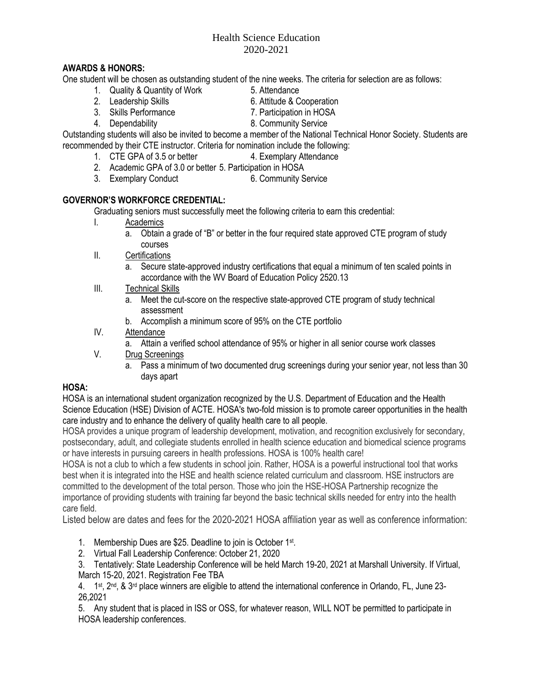## **AWARDS & HONORS:**

One student will be chosen as outstanding student of the nine weeks. The criteria for selection are as follows:

- 1. Quality & Quantity of Work 5. Attendance<br>2. Leadership Skills 6. Attitude & C
	-
- 6. Attitude & Cooperation
- 3. Skills Performance 7. Participation in HOSA
- 4. Dependability 8. Community Service

Outstanding students will also be invited to become a member of the National Technical Honor Society. Students are recommended by their CTE instructor. Criteria for nomination include the following:

- 1. CTE GPA of 3.5 or better 4. Exemplary Attendance
	- 2. Academic GPA of 3.0 or better 5. Participation in HOSA
- 3. Exemplary Conduct 6. Community Service

## **GOVERNOR'S WORKFORCE CREDENTIAL:**

Graduating seniors must successfully meet the following criteria to earn this credential:

- I. Academics
	- a. Obtain a grade of "B" or better in the four required state approved CTE program of study courses
- II. Certifications
	- a. Secure state-approved industry certifications that equal a minimum of ten scaled points in accordance with the WV Board of Education Policy 2520.13
- III. Technical Skills
	- a. Meet the cut-score on the respective state-approved CTE program of study technical assessment
	- b. Accomplish a minimum score of 95% on the CTE portfolio
- IV. Attendance
	- a. Attain a verified school attendance of 95% or higher in all senior course work classes
- V. Drug Screenings
	- a. Pass a minimum of two documented drug screenings during your senior year, not less than 30 days apart

# **HOSA:**

HOSA is an international student organization recognized by the U.S. Department of Education and the Health Science Education (HSE) Division of ACTE. HOSA's two-fold mission is to promote career opportunities in the health care industry and to enhance the delivery of quality health care to all people.

HOSA provides a unique program of leadership development, motivation, and recognition exclusively for secondary, postsecondary, adult, and collegiate students enrolled in health science education and biomedical science programs or have interests in pursuing careers in health professions. HOSA is 100% health care!

HOSA is not a club to which a few students in school join. Rather, HOSA is a powerful instructional tool that works best when it is integrated into the HSE and health science related curriculum and classroom. HSE instructors are committed to the development of the total person. Those who join the HSE-HOSA Partnership recognize the importance of providing students with training far beyond the basic technical skills needed for entry into the health care field.

Listed below are dates and fees for the 2020-2021 HOSA affiliation year as well as conference information:

1. Membership Dues are \$25. Deadline to join is October 1<sup>st</sup>.

2. Virtual Fall Leadership Conference: October 21, 2020

3. Tentatively: State Leadership Conference will be held March 19-20, 2021 at Marshall University. If Virtual, March 15-20, 2021. Registration Fee TBA

4. 1<sup>st</sup>, 2<sup>nd</sup>, & 3<sup>rd</sup> place winners are eligible to attend the international conference in Orlando, FL, June 23-26,2021

5. Any student that is placed in ISS or OSS, for whatever reason, WILL NOT be permitted to participate in HOSA leadership conferences.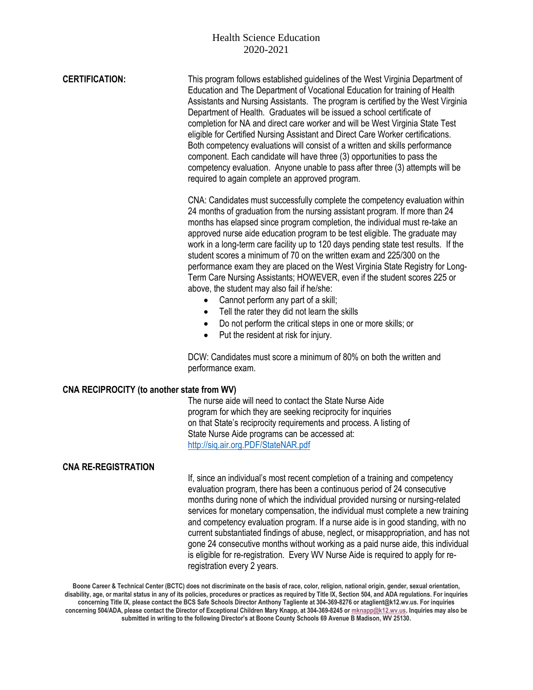| <b>CERTIFICATION:</b>                      | This program follows established guidelines of the West Virginia Department of<br>Education and The Department of Vocational Education for training of Health<br>Assistants and Nursing Assistants. The program is certified by the West Virginia<br>Department of Health. Graduates will be issued a school certificate of<br>completion for NA and direct care worker and will be West Virginia State Test<br>eligible for Certified Nursing Assistant and Direct Care Worker certifications.<br>Both competency evaluations will consist of a written and skills performance<br>component. Each candidate will have three (3) opportunities to pass the<br>competency evaluation. Anyone unable to pass after three (3) attempts will be<br>required to again complete an approved program.                                                                                                                                                          |  |  |
|--------------------------------------------|---------------------------------------------------------------------------------------------------------------------------------------------------------------------------------------------------------------------------------------------------------------------------------------------------------------------------------------------------------------------------------------------------------------------------------------------------------------------------------------------------------------------------------------------------------------------------------------------------------------------------------------------------------------------------------------------------------------------------------------------------------------------------------------------------------------------------------------------------------------------------------------------------------------------------------------------------------|--|--|
|                                            | CNA: Candidates must successfully complete the competency evaluation within<br>24 months of graduation from the nursing assistant program. If more than 24<br>months has elapsed since program completion, the individual must re-take an<br>approved nurse aide education program to be test eligible. The graduate may<br>work in a long-term care facility up to 120 days pending state test results. If the<br>student scores a minimum of 70 on the written exam and 225/300 on the<br>performance exam they are placed on the West Virginia State Registry for Long-<br>Term Care Nursing Assistants; HOWEVER, even if the student scores 225 or<br>above, the student may also fail if he/she:<br>Cannot perform any part of a skill;<br>$\bullet$<br>Tell the rater they did not learn the skills<br>$\bullet$<br>Do not perform the critical steps in one or more skills; or<br>$\bullet$<br>Put the resident at risk for injury.<br>$\bullet$ |  |  |
|                                            | DCW: Candidates must score a minimum of 80% on both the written and<br>performance exam.                                                                                                                                                                                                                                                                                                                                                                                                                                                                                                                                                                                                                                                                                                                                                                                                                                                                |  |  |
| CNA RECIPROCITY (to another state from WV) |                                                                                                                                                                                                                                                                                                                                                                                                                                                                                                                                                                                                                                                                                                                                                                                                                                                                                                                                                         |  |  |
|                                            | The nurse aide will need to contact the State Nurse Aide<br>program for which they are seeking reciprocity for inquiries<br>on that State's reciprocity requirements and process. A listing of<br>State Nurse Aide programs can be accessed at:                                                                                                                                                                                                                                                                                                                                                                                                                                                                                                                                                                                                                                                                                                         |  |  |

**CNA RE-REGISTRATION**

If, since an individual's most recent completion of a training and competency evaluation program, there has been a continuous period of 24 consecutive months during none of which the individual provided nursing or nursing-related services for monetary compensation, the individual must complete a new training and competency evaluation program. If a nurse aide is in good standing, with no current substantiated findings of abuse, neglect, or misappropriation, and has not gone 24 consecutive months without working as a paid nurse aide, this individual is eligible for re-registration. Every WV Nurse Aide is required to apply for reregistration every 2 years.

Boone Career & Technical Center (BCTC) does not discriminate on the basis of race, color, religion, national origin, gender, sexual orientation, disability, age, or marital status in any of its policies, procedures or practices as required by Title IX, Section 504, and ADA regulations. For inquiries concerning Title IX, please contact the BCS Safe Schools Director Anthony Tagliente at 304-369-8276 or ataglient@k12.wv.us. For inquiries concerning 504/ADA, please contact the Director of Exceptional Children Mary Knapp, at 304-369-8245 or [mknapp@k12.wv.us.](mailto:mknapp@k12.wv.us) Inquiries may also be **submitted in writing to the following Director's at Boone County Schools 69 Avenue B Madison, WV 25130.**

[http://siq.air.org.PDF/StateNAR.pdf](http://siq.air.org.pdf/StateNAR.pdf)